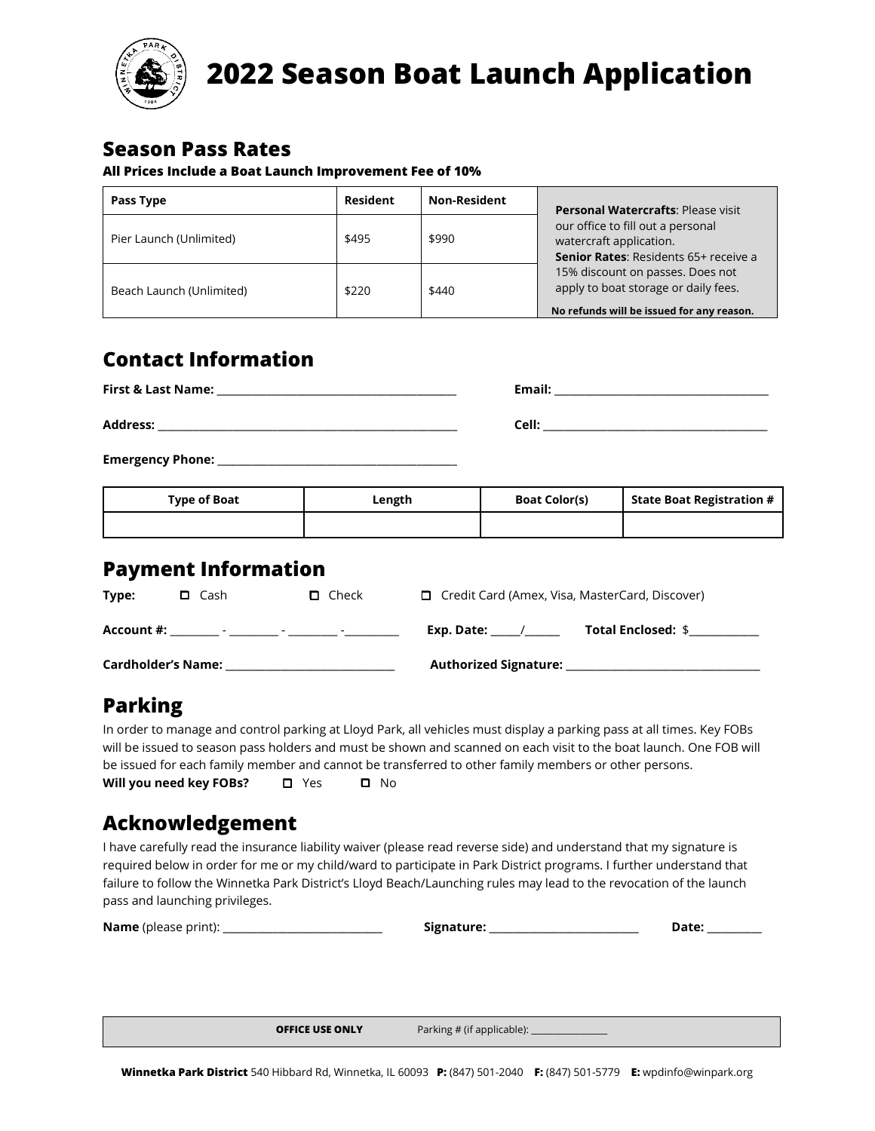

# **2022 Season Boat Launch Application**

#### **Season Pass Rates**

#### **All Prices Include a Boat Launch Improvement Fee of 10%**

| Pass Type                | Resident | <b>Non-Resident</b> | <b>Personal Watercrafts: Please visit</b>                                                                                                                                                                                      |  |
|--------------------------|----------|---------------------|--------------------------------------------------------------------------------------------------------------------------------------------------------------------------------------------------------------------------------|--|
| Pier Launch (Unlimited)  | \$495    | \$990               | our office to fill out a personal<br>watercraft application.<br>Senior Rates: Residents 65+ receive a<br>15% discount on passes. Does not<br>apply to boat storage or daily fees.<br>No refunds will be issued for any reason. |  |
| Beach Launch (Unlimited) | \$220    | \$440               |                                                                                                                                                                                                                                |  |

## **Contact Information**

| <b>First &amp; Last Name:</b> | Email:<br><u> 1980 - Jan Sarah Barat, masjid a shekara ta 1980 a shekara ta 1981 a shekara ta 1981 a shekara ta 1981 a shek</u> |
|-------------------------------|---------------------------------------------------------------------------------------------------------------------------------|
| <b>Address:</b>               | Cell:                                                                                                                           |
| <b>Emergency Phone:</b>       |                                                                                                                                 |

| Type of Boat | Length | <b>Boat Color(s)</b> | State Boat Registration # |
|--------------|--------|----------------------|---------------------------|
|              |        |                      |                           |

### **Payment Information**

| Type:                     | $\square$ Cash                             | $\Box$ Check             |                              | $\Box$ Credit Card (Amex, Visa, MasterCard, Discover) |
|---------------------------|--------------------------------------------|--------------------------|------------------------------|-------------------------------------------------------|
| Account #:                | <b>Service</b><br>$\overline{\phantom{0}}$ | $\overline{\phantom{0}}$ | Exp. Date:                   | <b>Total Enclosed: \$</b>                             |
| <b>Cardholder's Name:</b> |                                            |                          | <b>Authorized Signature:</b> |                                                       |

## **Parking**

In order to manage and control parking at Lloyd Park, all vehicles must display a parking pass at all times. Key FOBs will be issued to season pass holders and must be shown and scanned on each visit to the boat launch. One FOB will be issued for each family member and cannot be transferred to other family members or other persons. **Will you need key FOBs?** □ Yes □ No

### **Acknowledgement**

I have carefully read the insurance liability waiver (please read reverse side) and understand that my signature is required below in order for me or my child/ward to participate in Park District programs. I further understand that failure to follow the Winnetka Park District's Lloyd Beach/Launching rules may lead to the revocation of the launch pass and launching privileges.

| <b>Name</b> (please print): | Signature: | )ate: |
|-----------------------------|------------|-------|
|                             |            |       |
|                             |            |       |

**OFFICE USE ONLY** Parking # (if applicable):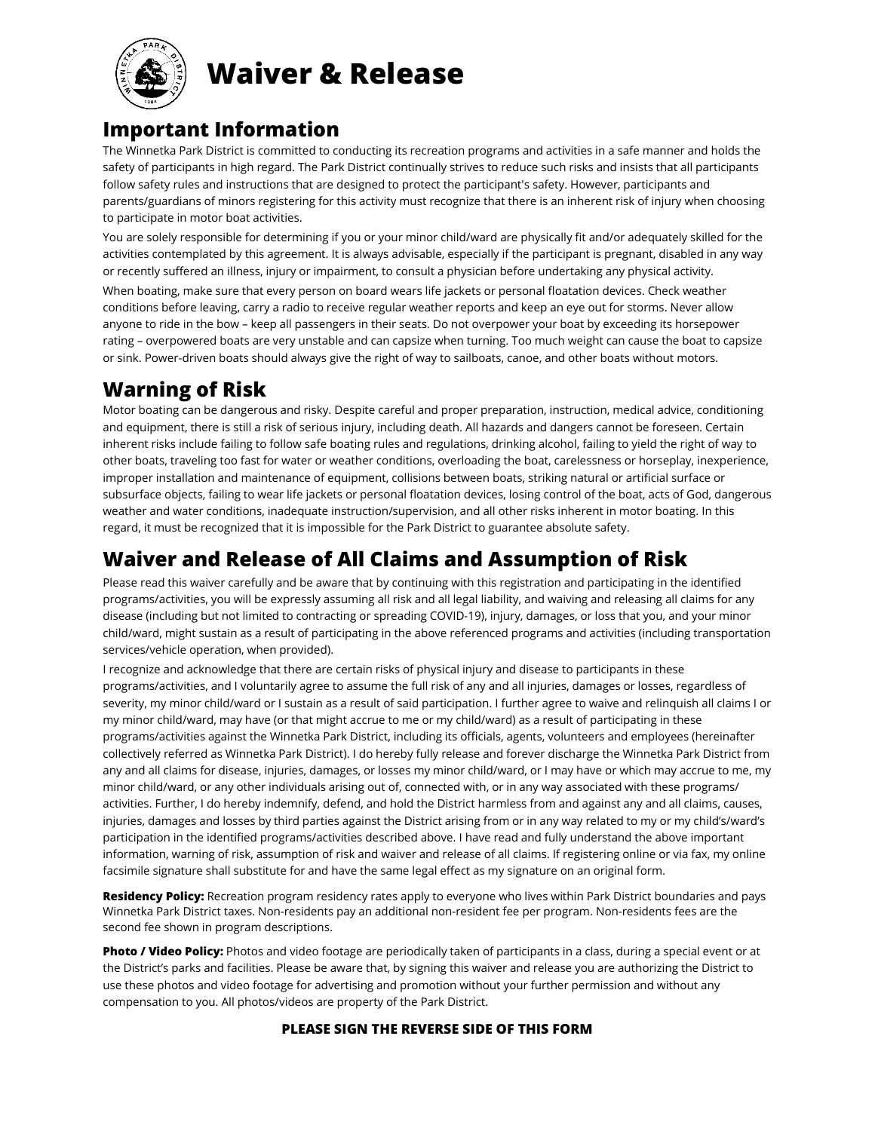

**Waiver & Release**

## **Important Information**

The Winnetka Park District is committed to conducting its recreation programs and activities in a safe manner and holds the safety of participants in high regard. The Park District continually strives to reduce such risks and insists that all participants follow safety rules and instructions that are designed to protect the participant's safety. However, participants and parents/guardians of minors registering for this activity must recognize that there is an inherent risk of injury when choosing to participate in motor boat activities.

You are solely responsible for determining if you or your minor child/ward are physically fit and/or adequately skilled for the activities contemplated by this agreement. It is always advisable, especially if the participant is pregnant, disabled in any way or recently suffered an illness, injury or impairment, to consult a physician before undertaking any physical activity.

When boating, make sure that every person on board wears life jackets or personal floatation devices. Check weather conditions before leaving, carry a radio to receive regular weather reports and keep an eye out for storms. Never allow anyone to ride in the bow – keep all passengers in their seats. Do not overpower your boat by exceeding its horsepower rating – overpowered boats are very unstable and can capsize when turning. Too much weight can cause the boat to capsize or sink. Power-driven boats should always give the right of way to sailboats, canoe, and other boats without motors.

# **Warning of Risk**

Motor boating can be dangerous and risky. Despite careful and proper preparation, instruction, medical advice, conditioning and equipment, there is still a risk of serious injury, including death. All hazards and dangers cannot be foreseen. Certain inherent risks include failing to follow safe boating rules and regulations, drinking alcohol, failing to yield the right of way to other boats, traveling too fast for water or weather conditions, overloading the boat, carelessness or horseplay, inexperience, improper installation and maintenance of equipment, collisions between boats, striking natural or artificial surface or subsurface objects, failing to wear life jackets or personal floatation devices, losing control of the boat, acts of God, dangerous weather and water conditions, inadequate instruction/supervision, and all other risks inherent in motor boating. In this regard, it must be recognized that it is impossible for the Park District to guarantee absolute safety.

## **Waiver and Release of All Claims and Assumption of Risk**

Please read this waiver carefully and be aware that by continuing with this registration and participating in the identified programs/activities, you will be expressly assuming all risk and all legal liability, and waiving and releasing all claims for any disease (including but not limited to contracting or spreading COVID-19), injury, damages, or loss that you, and your minor child/ward, might sustain as a result of participating in the above referenced programs and activities (including transportation services/vehicle operation, when provided).

I recognize and acknowledge that there are certain risks of physical injury and disease to participants in these programs/activities, and I voluntarily agree to assume the full risk of any and all injuries, damages or losses, regardless of severity, my minor child/ward or I sustain as a result of said participation. I further agree to waive and relinquish all claims I or my minor child/ward, may have (or that might accrue to me or my child/ward) as a result of participating in these programs/activities against the Winnetka Park District, including its officials, agents, volunteers and employees (hereinafter collectively referred as Winnetka Park District). I do hereby fully release and forever discharge the Winnetka Park District from any and all claims for disease, injuries, damages, or losses my minor child/ward, or I may have or which may accrue to me, my minor child/ward, or any other individuals arising out of, connected with, or in any way associated with these programs/ activities. Further, I do hereby indemnify, defend, and hold the District harmless from and against any and all claims, causes, injuries, damages and losses by third parties against the District arising from or in any way related to my or my child's/ward's participation in the identified programs/activities described above. I have read and fully understand the above important information, warning of risk, assumption of risk and waiver and release of all claims. If registering online or via fax, my online facsimile signature shall substitute for and have the same legal effect as my signature on an original form.

**Residency Policy:** Recreation program residency rates apply to everyone who lives within Park District boundaries and pays Winnetka Park District taxes. Non-residents pay an additional non-resident fee per program. Non-residents fees are the second fee shown in program descriptions.

**Photo / Video Policy:** Photos and video footage are periodically taken of participants in a class, during a special event or at the District's parks and facilities. Please be aware that, by signing this waiver and release you are authorizing the District to use these photos and video footage for advertising and promotion without your further permission and without any compensation to you. All photos/videos are property of the Park District.

#### **PLEASE SIGN THE REVERSE SIDE OF THIS FORM**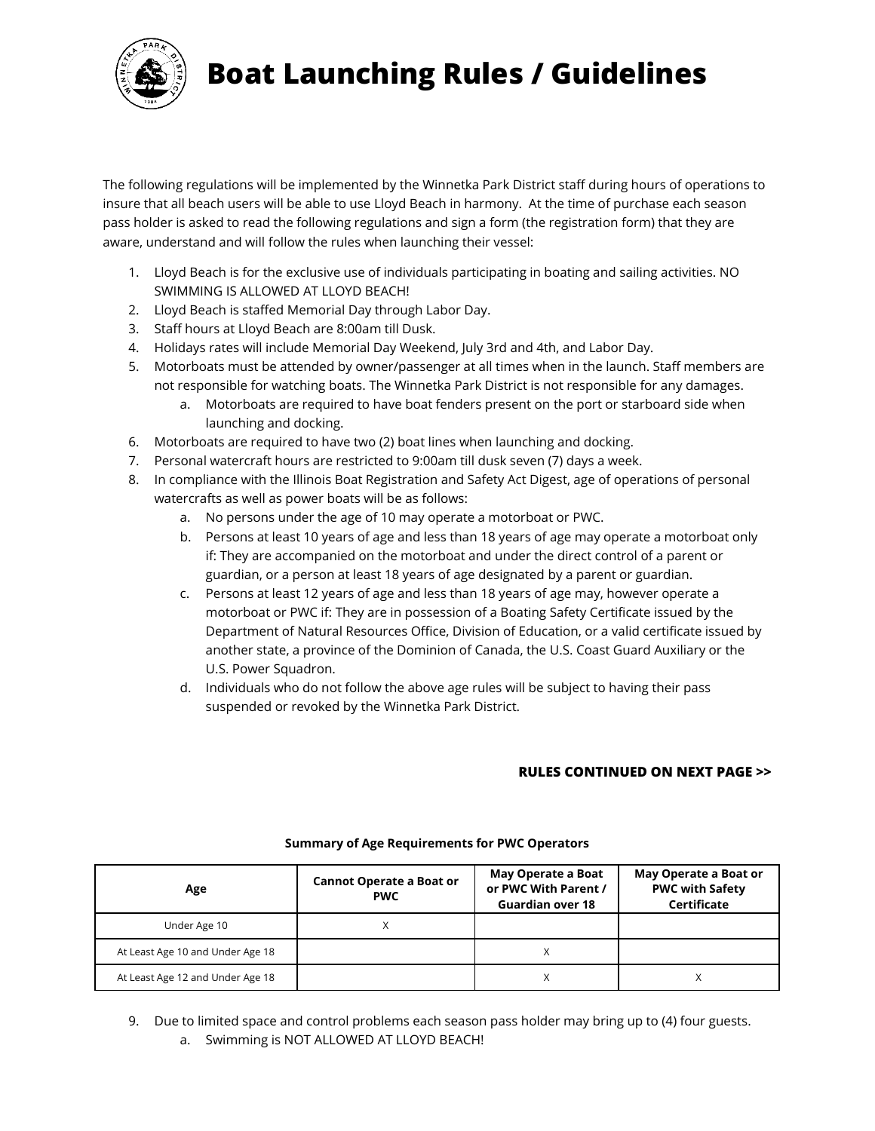

# **Boat Launching Rules / Guidelines**

The following regulations will be implemented by the Winnetka Park District staff during hours of operations to insure that all beach users will be able to use Lloyd Beach in harmony. At the time of purchase each season pass holder is asked to read the following regulations and sign a form (the registration form) that they are aware, understand and will follow the rules when launching their vessel:

- 1. Lloyd Beach is for the exclusive use of individuals participating in boating and sailing activities. NO SWIMMING IS ALLOWED AT LLOYD BEACH!
- 2. Lloyd Beach is staffed Memorial Day through Labor Day.
- 3. Staff hours at Lloyd Beach are 8:00am till Dusk.
- 4. Holidays rates will include Memorial Day Weekend, July 3rd and 4th, and Labor Day.
- 5. Motorboats must be attended by owner/passenger at all times when in the launch. Staff members are not responsible for watching boats. The Winnetka Park District is not responsible for any damages.
	- a. Motorboats are required to have boat fenders present on the port or starboard side when launching and docking.
- 6. Motorboats are required to have two (2) boat lines when launching and docking.
- 7. Personal watercraft hours are restricted to 9:00am till dusk seven (7) days a week.
- 8. In compliance with the Illinois Boat Registration and Safety Act Digest, age of operations of personal watercrafts as well as power boats will be as follows:
	- a. No persons under the age of 10 may operate a motorboat or PWC.
	- b. Persons at least 10 years of age and less than 18 years of age may operate a motorboat only if: They are accompanied on the motorboat and under the direct control of a parent or guardian, or a person at least 18 years of age designated by a parent or guardian.
	- c. Persons at least 12 years of age and less than 18 years of age may, however operate a motorboat or PWC if: They are in possession of a Boating Safety Certificate issued by the Department of Natural Resources Office, Division of Education, or a valid certificate issued by another state, a province of the Dominion of Canada, the U.S. Coast Guard Auxiliary or the U.S. Power Squadron.
	- d. Individuals who do not follow the above age rules will be subject to having their pass suspended or revoked by the Winnetka Park District.

#### **RULES CONTINUED ON NEXT PAGE >>**

| <b>Cannot Operate a Boat or</b><br>Age<br><b>PWC</b> |  | May Operate a Boat<br>or PWC With Parent /<br><b>Guardian over 18</b> | May Operate a Boat or<br><b>PWC with Safety</b><br>Certificate |
|------------------------------------------------------|--|-----------------------------------------------------------------------|----------------------------------------------------------------|
| Under Age 10                                         |  |                                                                       |                                                                |
| At Least Age 10 and Under Age 18                     |  |                                                                       |                                                                |
| At Least Age 12 and Under Age 18                     |  |                                                                       |                                                                |

#### **Summary of Age Requirements for PWC Operators**

9. Due to limited space and control problems each season pass holder may bring up to (4) four guests. a. Swimming is NOT ALLOWED AT LLOYD BEACH!